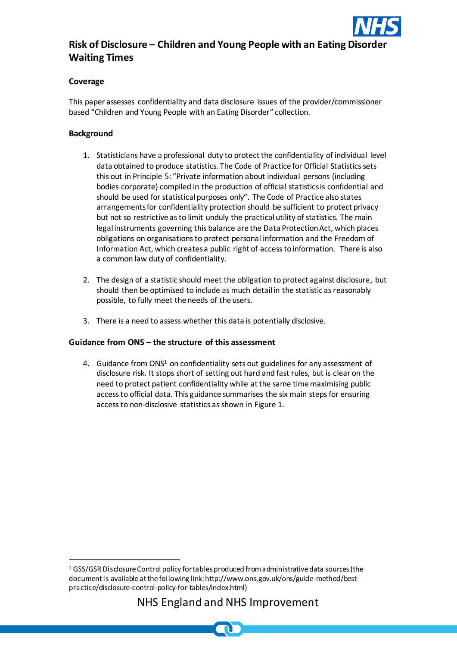

# **Risk of Disclosure – Children and Young People with an Eating Disorder Waiting Times**

## **Coverage**

This paper assesses confidentiality and data disclosure issues of the provider/commissioner based "Children and Young People with an Eating Disorder" collection.

## **Background**

l

- 1. Statisticians have a professional duty to protect the confidentiality of individual level data obtained to produce statistics. The Code of Practice for Official Statistics sets this out in Principle 5: "Private information about individual persons (including bodies corporate) compiled in the production of official statistics is confidential and should be used for statistical purposes only". The Code of Practice also states arrangements for confidentiality protection should be sufficient to protect privacy but not so restrictive as to limit unduly the practical utility of statistics. The main legal instruments governing this balance are the Data Protection Act, which places obligations on organisations to protect personal information and the Freedom of Information Act, which creates a public right of access to information. There is also a common law duty of confidentiality.
- 2. The design of a statistic should meet the obligation to protect against disclosure, but should then be optimised to include as much detail in the statistic as reasonably possible, to fully meet the needs of the users.
- 3. There is a need to assess whether this data is potentially disclosive.

## **Guidance from ONS – the structure of this assessment**

4. Guidance from ONS<sup>1</sup> on confidentiality sets out guidelines for any assessment of disclosure risk. It stops short of setting out hard and fast rules, but is clear on the need to protect patient confidentiality while at the same time maximising public access to official data. This guidance summarises the six main steps for ensuring access to non-disclosive statistics as shown in Figure 1.

<sup>&</sup>lt;sup>1</sup> GSS/GSR Disclosure Control policy for tables produced from administrative data sources (the document is available at the following link: http://www.ons.gov.uk/ons/guide-method/bestpractice/disclosure-control-policy-for-tables/index.html)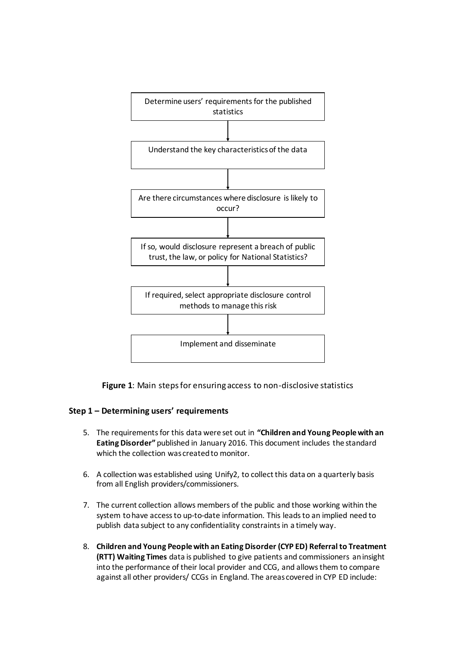

**Figure 1**: Main steps for ensuring access to non-disclosive statistics

#### **Step 1 – Determining users' requirements**

- 5. The requirements for this data were set out in **"Children and Young People with an Eating Disorder"** published in January 2016. This document includes the standard which the collection was created to monitor.
- 6. A collection was established using Unify2, to collect this data on a quarterly basis from all English providers/commissioners.
- 7. The current collection allows members of the public and those working within the system to have access to up-to-date information. This leads to an implied need to publish data subject to any confidentiality constraints in a timely way.
- 8. **Children and Young People with an Eating Disorder (CYP ED) Referral to Treatment (RTT) Waiting Times** data is published to give patients and commissioners an insight into the performance of their local provider and CCG, and allows them to compare against all other providers/ CCGs in England. The areas covered in CYP ED include: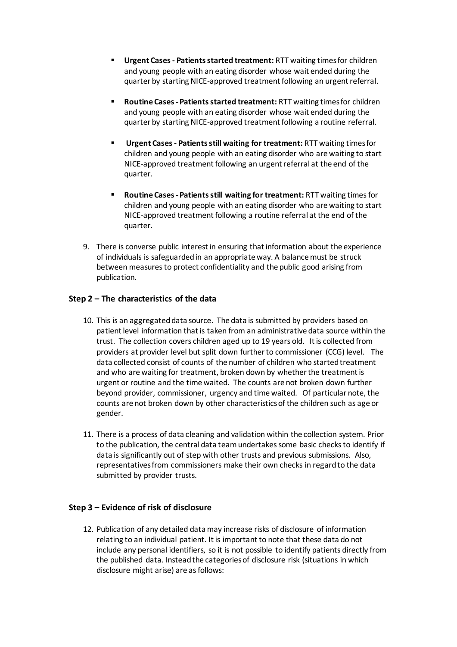- **Urgent Cases - Patients started treatment:** RTT waiting times for children and young people with an eating disorder whose wait ended during the quarter by starting NICE-approved treatment following an urgent referral.
- **Routine Cases -Patients started treatment:** RTT waiting times for children and young people with an eating disorder whose wait ended during the quarter by starting NICE-approved treatment following a routine referral.
- **Urgent Cases - Patients still waiting for treatment:** RTT waiting times for children and young people with an eating disorder who are waiting to start NICE-approved treatment following an urgent referral at the end of the quarter.
- **Routine Cases -Patients still waiting for treatment:** RTT waiting times for children and young people with an eating disorder who are waiting to start NICE-approved treatment following a routine referral at the end of the quarter.
- 9. There is converse public interest in ensuring that information about the experience of individuals is safeguarded in an appropriate way. A balance must be struck between measures to protect confidentiality and the public good arising from publication.

## **Step 2 – The characteristics of the data**

- 10. This is an aggregated data source. The data is submitted by providers based on patient level information that is taken from an administrative data source within the trust. The collection covers children aged up to 19 years old. It is collected from providers at provider level but split down further to commissioner (CCG) level. The data collected consist of counts of the number of children who started treatment and who are waiting for treatment, broken down by whether the treatment is urgent or routine and the time waited. The counts are not broken down further beyond provider, commissioner, urgency and time waited. Of particular note, the counts are not broken down by other characteristics of the children such as age or gender.
- 11. There is a process of data cleaning and validation within the collection system. Prior to the publication, the central data teamundertakes some basic checks to identify if data is significantly out of step with other trusts and previous submissions. Also, representatives from commissioners make their own checks in regard to the data submitted by provider trusts.

#### **Step 3 – Evidence of risk of disclosure**

12. Publication of any detailed data may increase risks of disclosure of information relating to an individual patient. It is important to note that these data do not include any personal identifiers, so it is not possible to identify patients directly from the published data. Instead the categories of disclosure risk (situations in which disclosure might arise) are as follows: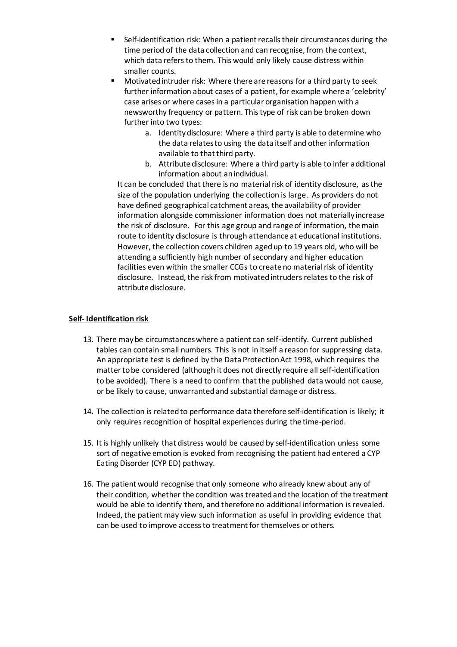- Self-identification risk: When a patient recalls their circumstances during the time period of the data collection and can recognise, from the context, which data refers to them. This would only likely cause distress within smaller counts.
- Motivated intruder risk: Where there are reasons for a third party to seek further information about cases of a patient, for example where a 'celebrity' case arises or where cases in a particular organisation happen with a newsworthy frequency or pattern. This type of risk can be broken down further into two types:
	- a. Identity disclosure: Where a third party is able to determine who the data relates to using the data itself and other information available to that third party.
	- b. Attribute disclosure: Where a third party is able to infer additional information about an individual.

It can be concluded that there is no material risk of identity disclosure, as the size of the population underlying the collection is large. As providers do not have defined geographical catchment areas, the availability of provider information alongside commissioner information does not materially increase the risk of disclosure. For this age group and range of information, the main route to identity disclosure is through attendance at educational institutions. However, the collection covers children aged up to 19 years old, who will be attending a sufficiently high number of secondary and higher education facilities even within the smaller CCGs to create no material risk of identity disclosure. Instead, the risk from motivated intruders relates to the risk of attribute disclosure.

#### **Self- Identification risk**

- 13. There may be circumstances where a patient can self-identify. Current published tables can contain small numbers. This is not in itself a reason for suppressing data. An appropriate test is defined by the Data Protection Act 1998, which requires the matter to be considered (although it does not directly require all self-identification to be avoided). There is a need to confirm that the published data would not cause, or be likely to cause, unwarranted and substantial damage or distress.
- 14. The collection is related to performance data therefore self-identification is likely; it only requires recognition of hospital experiences during the time-period.
- 15. It is highly unlikely that distress would be caused by self-identification unless some sort of negative emotion is evoked from recognising the patient had entered a CYP Eating Disorder (CYP ED) pathway.
- 16. The patient would recognise that only someone who already knew about any of their condition, whether the condition was treated and the location of the treatment would be able to identify them, and therefore no additional information is revealed. Indeed, the patient may view such information as useful in providing evidence that can be used to improve access to treatment for themselves or others.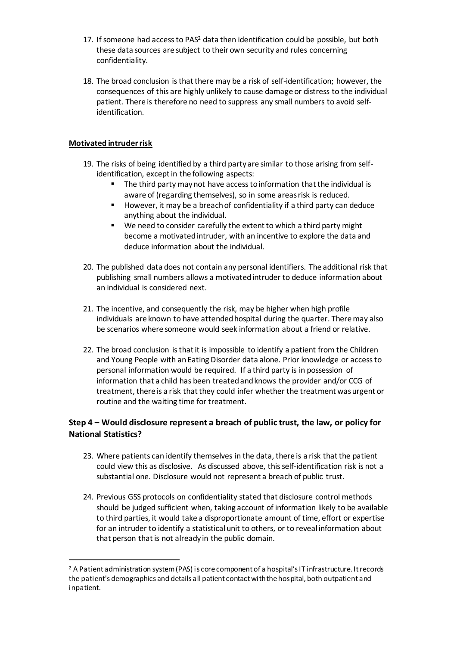- 17. If someone had accessto PAS<sup>2</sup> data then identification could be possible, but both these data sources are subject to their own security and rules concerning confidentiality.
- 18. The broad conclusion is that there may be a risk of self-identification; however, the consequences of this are highly unlikely to cause damage or distress to the individual patient. There is therefore no need to suppress any small numbers to avoid selfidentification.

#### **Motivated intruder risk**

l

- 19. The risks of being identified by a third party are similar to those arising from selfidentification, except in the following aspects:
	- The third party may not have access to information that the individual is aware of (regarding themselves), so in some areas risk is reduced.
	- However, it may be a breach of confidentiality if a third party can deduce anything about the individual.
	- We need to consider carefully the extent to which a third party might become a motivated intruder, with an incentive to explore the data and deduce information about the individual.
- 20. The published data does not contain any personal identifiers. The additional risk that publishing small numbers allows a motivated intruder to deduce information about an individual is considered next.
- 21. The incentive, and consequently the risk, may be higher when high profile individuals are known to have attended hospital during the quarter. There may also be scenarios where someone would seek information about a friend or relative.
- 22. The broad conclusion isthat it is impossible to identify a patient from the Children and Young People with an Eating Disorder data alone. Prior knowledge or access to personal information would be required. If a third party is in possession of information that a child has been treated and knows the provider and/or CCG of treatment, there is a risk that they could infer whether the treatment was urgent or routine and the waiting time for treatment.

# **Step 4 – Would disclosure represent a breach of public trust, the law, or policy for National Statistics?**

- 23. Where patients can identify themselves in the data, there is a risk that the patient could view this as disclosive. As discussed above, this self-identification risk is not a substantial one. Disclosure would not represent a breach of public trust.
- 24. Previous GSS protocols on confidentiality stated that disclosure control methods should be judged sufficient when, taking account of information likely to be available to third parties, it would take a disproportionate amount of time, effort or expertise for an intruder to identify a statistical unit to others, or to reveal information about that person that is not already in the public domain.

<sup>&</sup>lt;sup>2</sup> A Patient administration system (PAS) is core component of a hospital's IT infrastructure. It records the patient's demographics and details all patient contact with the hospital, both outpatient and inpatient.